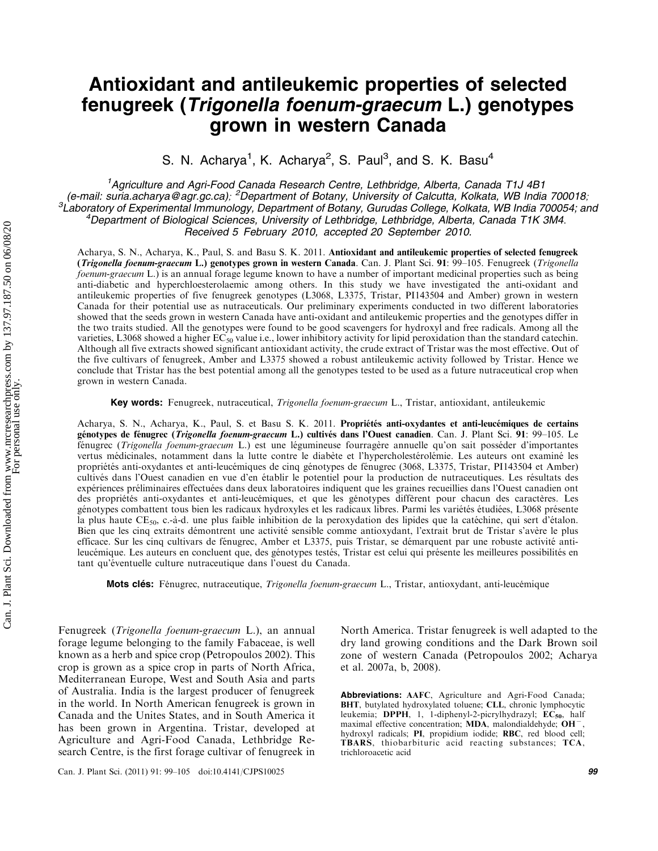# Antioxidant and antileukemic properties of selected fenugreek (Trigonella foenum-graecum L.) genotypes grown in western Canada

S. N. Acharya<sup>1</sup>, K. Acharya<sup>2</sup>, S. Paul<sup>3</sup>, and S. K. Basu<sup>4</sup>

<sup>1</sup>Agriculture and Agri-Food Canada Research Centre, Lethbridge, Alberta, Canada T1J 4B1 (e-mail: suria.acharya@agr.gc.ca); <sup>2</sup>Department of Botany, University of Calcutta, Kolkata, WB India <sup>700018</sup>; <sup>3</sup>Laboratory of Experimental Immunology, Department of Botany, Gurudas College, Kolkata, WB India 700054; and 4Department of Biological Sciences, University of Lethbridge, Lethbridge, Alberta, Canada T1K 3M4. Received 5 February 2010, accepted 20 September 2010.

Acharya, S. N., Acharya, K., Paul, S. and Basu S. K. 2011. Antioxidant and antileukemic properties of selected fenugreek (Trigonella foenum-graecum L.) genotypes grown in western Canada. Can. J. Plant Sci. 91: 99–105. Fenugreek (Trigonella foenum-graecum L.) is an annual forage legume known to have a number of important medicinal properties such as being anti-diabetic and hyperchloesterolaemic among others. In this study we have investigated the anti-oxidant and antileukemic properties of five fenugreek genotypes (L3068, L3375, Tristar, PI143504 and Amber) grown in western Canada for their potential use as nutraceuticals. Our preliminary experiments conducted in two different laboratories showed that the seeds grown in western Canada have anti-oxidant and antileukemic properties and the genotypes differ in the two traits studied. All the genotypes were found to be good scavengers for hydroxyl and free radicals. Among all the varieties, L3068 showed a higher  $EC_{50}$  value i.e., lower inhibitory activity for lipid peroxidation than the standard catechin. Although all five extracts showed significant antioxidant activity, the crude extract of Tristar was the most effective. Out of the five cultivars of fenugreek, Amber and L3375 showed a robust antileukemic activity followed by Tristar. Hence we conclude that Tristar has the best potential among all the genotypes tested to be used as a future nutraceutical crop when grown in western Canada.

Key words: Fenugreek, nutraceutical, Trigonella foenum-graecum L., Tristar, antioxidant, antileukemic

Acharya, S. N., Acharya, K., Paul, S. et Basu S. K. 2011. Propriétés anti-oxydantes et anti-leucémiques de certains génotypes de fénugrec (Trigonella foenum-graecum L.) cultivés dans l'Ouest canadien. Can. J. Plant Sci. 91: 99-105. Le fénugrec (Trigonella foenum-graecum L.) est une légumineuse fourragère annuelle qu'on sait posséder d'importantes vertus médicinales, notamment dans la lutte contre le diabète et l'hypercholestérolémie. Les auteurs ont examiné les propriétés anti-oxydantes et anti-leucémiques de cinq génotypes de fénugrec (3068, L3375, Tristar, PI143504 et Amber) cultivés dans l'Ouest canadien en vue d'en établir le potentiel pour la production de nutraceutiques. Les résultats des expériences préliminaires effectuées dans deux laboratoires indiquent que les graines recueillies dans l'Ouest canadien ont des propriétés anti-oxydantes et anti-leucémiques, et que les génotypes diffèrent pour chacun des caractères. Les génotypes combattent tous bien les radicaux hydroxyles et les radicaux libres. Parmi les variétés étudiées, L3068 présente la plus haute  $CE_{50}$ , c.-à-d. une plus faible inhibition de la peroxydation des lipides que la catéchine, qui sert d'étalon. Bien que les cinq extraits démontrent une activité sensible comme antioxydant, l'extrait brut de Tristar s'avère le plus efficace. Sur les cinq cultivars de fénugrec, Amber et L3375, puis Tristar, se démarquent par une robuste activité antileucémique. Les auteurs en concluent que, des génotypes testés, Tristar est celui qui présente les meilleures possibilités en tant qu'éventuelle culture nutraceutique dans l'ouest du Canada.

Mots clés: Fénugrec, nutraceutique, *Trigonella foenum-graecum* L., Tristar, antioxydant, anti-leucémique

Fenugreek (Trigonella foenum-graecum L.), an annual forage legume belonging to the family Fabaceae, is well known as a herb and spice crop (Petropoulos 2002). This crop is grown as a spice crop in parts of North Africa, Mediterranean Europe, West and South Asia and parts of Australia. India is the largest producer of fenugreek in the world. In North American fenugreek is grown in Canada and the Unites States, and in South America it has been grown in Argentina. Tristar, developed at Agriculture and Agri-Food Canada, Lethbridge Research Centre, is the first forage cultivar of fenugreek in

Can. J. Plant Sci. (2011) 91: 99–105 doi:10.4141/CJPS10025 99

North America. Tristar fenugreek is well adapted to the dry land growing conditions and the Dark Brown soil zone of western Canada (Petropoulos 2002; Acharya et al. 2007a, b, 2008).

Abbreviations: AAFC, Agriculture and Agri-Food Canada; BHT, butylated hydroxylated toluene; CLL, chronic lymphocytic leukemia; DPPH, 1, 1-diphenyl-2-picrylhydrazyl;  $EC_{50}$ , half maximal effective concentration; MDA, malondialdehyde; OH<sup>-</sup>, hydroxyl radicals; PI, propidium iodide; RBC, red blood cell; TBARS, thiobarbituric acid reacting substances; TCA, trichloroacetic acid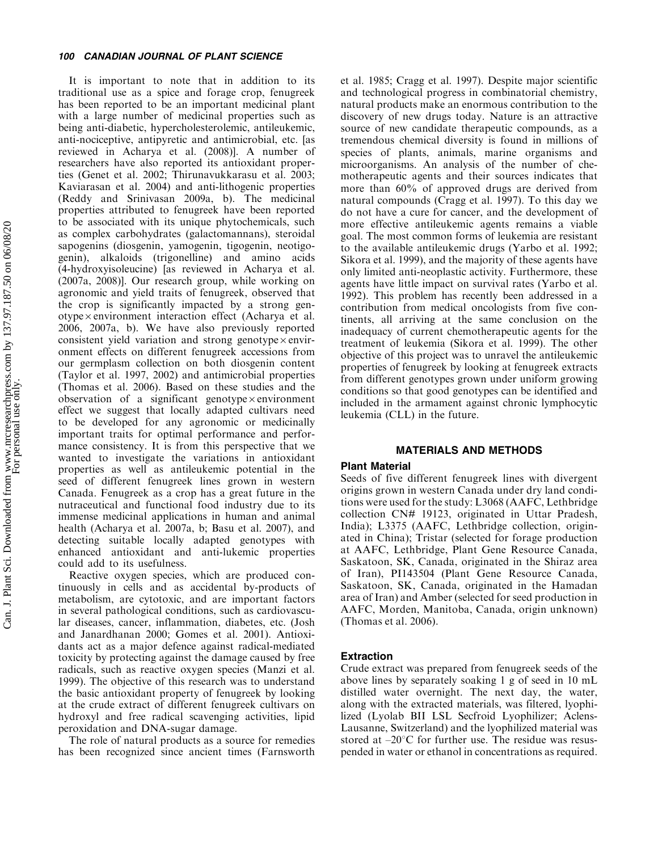#### 100 CANADIAN JOURNAL OF PLANT SCIENCE

It is important to note that in addition to its traditional use as a spice and forage crop, fenugreek has been reported to be an important medicinal plant with a large number of medicinal properties such as being anti-diabetic, hypercholesterolemic, antileukemic, anti-nociceptive, antipyretic and antimicrobial, etc. [as reviewed in Acharya et al. (2008)]. A number of researchers have also reported its antioxidant properties (Genet et al. 2002; Thirunavukkarasu et al. 2003; Kaviarasan et al. 2004) and anti-lithogenic properties (Reddy and Srinivasan 2009a, b). The medicinal properties attributed to fenugreek have been reported to be associated with its unique phytochemicals, such as complex carbohydrates (galactomannans), steroidal sapogenins (diosgenin, yamogenin, tigogenin, neotigogenin), alkaloids (trigonelline) and amino acids (4-hydroxyisoleucine) [as reviewed in Acharya et al. (2007a, 2008)]. Our research group, while working on agronomic and yield traits of fenugreek, observed that the crop is significantly impacted by a strong gen $otype \times environment$  interaction effect (Acharya et al. 2006, 2007a, b). We have also previously reported consistent yield variation and strong genotype $\times$ environment effects on different fenugreek accessions from our germplasm collection on both diosgenin content (Taylor et al. 1997, 2002) and antimicrobial properties (Thomas et al. 2006). Based on these studies and the observation of a significant genotype $\times$  environment effect we suggest that locally adapted cultivars need to be developed for any agronomic or medicinally important traits for optimal performance and performance consistency. It is from this perspective that we wanted to investigate the variations in antioxidant properties as well as antileukemic potential in the seed of different fenugreek lines grown in western Canada. Fenugreekas a crop has a great future in the nutraceutical and functional food industry due to its immense medicinal applications in human and animal health (Acharya et al. 2007a, b; Basu et al. 2007), and detecting suitable locally adapted genotypes with enhanced antioxidant and anti-lukemic properties could add to its usefulness.

Reactive oxygen species, which are produced continuously in cells and as accidental by-products of metabolism, are cytotoxic, and are important factors in several pathological conditions, such as cardiovascular diseases, cancer, inflammation, diabetes, etc. (Josh and Janardhanan 2000; Gomes et al. 2001). Antioxidants act as a major defence against radical-mediated toxicity by protecting against the damage caused by free radicals, such as reactive oxygen species (Manzi et al. 1999). The objective of this research was to understand the basic antioxidant property of fenugreek by looking at the crude extract of different fenugreek cultivars on hydroxyl and free radical scavenging activities, lipid peroxidation and DNA-sugar damage.

The role of natural products as a source for remedies has been recognized since ancient times (Farnsworth et al. 1985; Cragg et al. 1997). Despite major scientific and technological progress in combinatorial chemistry, natural products make an enormous contribution to the discovery of new drugs today. Nature is an attractive source of new candidate therapeutic compounds, as a tremendous chemical diversity is found in millions of species of plants, animals, marine organisms and microorganisms. An analysis of the number of chemotherapeutic agents and their sources indicates that more than 60% of approved drugs are derived from natural compounds (Cragg et al. 1997). To this day we do not have a cure for cancer, and the development of more effective antileukemic agents remains a viable goal. The most common forms of leukemia are resistant to the available antileukemic drugs (Yarbo et al. 1992; Sikora et al. 1999), and the majority of these agents have only limited anti-neoplastic activity. Furthermore, these agents have little impact on survival rates (Yarbo et al. 1992). This problem has recently been addressed in a contribution from medical oncologists from five continents, all arriving at the same conclusion on the inadequacy of current chemotherapeutic agents for the treatment of leukemia (Sikora et al. 1999). The other objective of this project was to unravel the antileukemic properties of fenugreek by looking at fenugreek extracts from different genotypes grown under uniform growing conditions so that good genotypes can be identified and included in the armament against chronic lymphocytic leukemia (CLL) in the future.

# MATERIALS AND METHODS

## Plant Material

Seeds of five different fenugreek lines with divergent origins grown in western Canada under dry land conditions were used for the study: L3068 (AAFC, Lethbridge collection CN# 19123, originated in Uttar Pradesh, India); L3375 (AAFC, Lethbridge collection, originated in China); Tristar (selected for forage production at AAFC, Lethbridge, Plant Gene Resource Canada, Saskatoon, SK, Canada, originated in the Shiraz area of Iran), PI143504 (Plant Gene Resource Canada, Saskatoon, SK, Canada, originated in the Hamadan area of Iran) and Amber (selected for seed production in AAFC, Morden, Manitoba, Canada, origin unknown) (Thomas et al. 2006).

## Extraction

Crude extract was prepared from fenugreek seeds of the above lines by separately soaking 1 g of seed in 10 mL distilled water overnight. The next day, the water, along with the extracted materials, was filtered, lyophilized (Lyolab BII LSL Secfroid Lyophilizer; Aclens-Lausanne, Switzerland) and the lyophilized material was stored at  $-20^{\circ}$ C for further use. The residue was resuspended in water or ethanol in concentrations as required.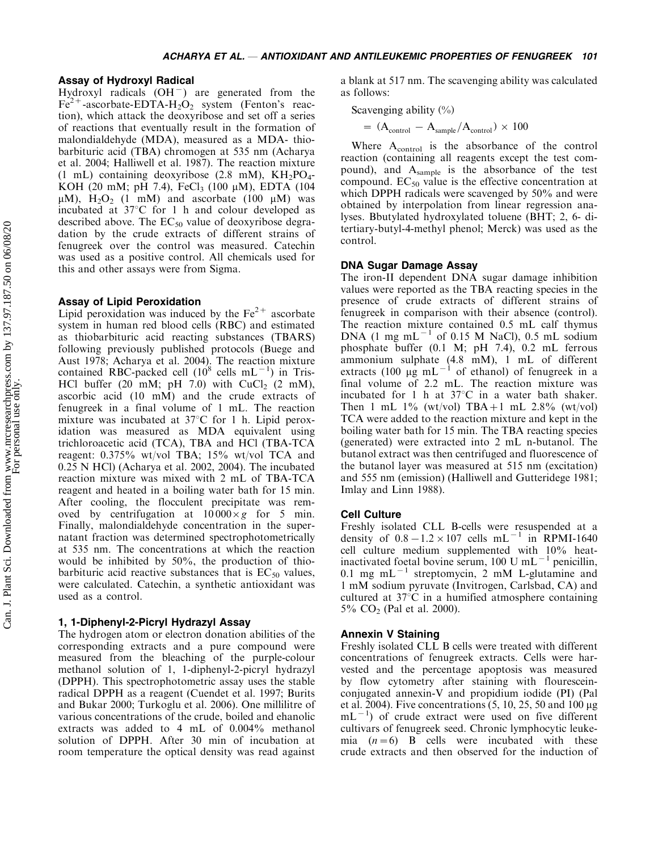## Assay of Hydroxyl Radical

Hydroxyl radicals  $(OH^{-})$  are generated from the  $Fe<sup>2+</sup>$ -ascorbate-EDTA-H<sub>2</sub>O<sub>2</sub> system (Fenton's reaction), which attack the deoxyribose and set off a series of reactions that eventually result in the formation of malondialdehyde (MDA), measured as a MDA- thiobarbituric acid (TBA) chromogen at 535 nm (Acharya et al. 2004; Halliwell et al. 1987). The reaction mixture (1 mL) containing deoxyribose (2.8 mM),  $KH_2PO_4$ -KOH (20 mM; pH 7.4), FeCl<sub>3</sub> (100  $\mu$ M), EDTA (104  $\mu$ M), H<sub>2</sub>O<sub>2</sub> (1 mM) and ascorbate (100  $\mu$ M) was incubated at  $37^{\circ}$ C for 1 h and colour developed as described above. The  $EC_{50}$  value of deoxyribose degradation by the crude extracts of different strains of fenugreek over the control was measured. Catechin was used as a positive control. All chemicals used for this and other assays were from Sigma.

#### Assay of Lipid Peroxidation

Lipid peroxidation was induced by the  $Fe<sup>2+</sup>$  ascorbate system in human red blood cells (RBC) and estimated as thiobarbituric acid reacting substances (TBARS) following previously published protocols (Buege and Aust 1978; Acharya et al. 2004). The reaction mixture contained RBC-packed cell  $(10^8 \text{ cells } mL^{-1})$  in Tris-HCl buffer (20 mM; pH 7.0) with  $CuCl<sub>2</sub>$  (2 mM), ascorbic acid (10 mM) and the crude extracts of fenugreek in a final volume of 1 mL. The reaction mixture was incubated at  $37^{\circ}$ C for 1 h. Lipid peroxidation was measured as MDA equivalent using trichloroacetic acid (TCA), TBA and HCl (TBA-TCA reagent: 0.375% wt/vol TBA; 15% wt/vol TCA and 0.25 N HCl) (Acharya et al. 2002, 2004). The incubated reaction mixture was mixed with 2 mL of TBA-TCA reagent and heated in a boiling water bath for 15 min. After cooling, the flocculent precipitate was removed by centrifugation at  $10000 \times g$  for 5 min. Finally, malondialdehyde concentration in the supernatant fraction was determined spectrophotometrically at 535 nm. The concentrations at which the reaction would be inhibited by 50%, the production of thiobarbituric acid reactive substances that is  $EC_{50}$  values, were calculated. Catechin, a synthetic antioxidant was used as a control.

#### 1, 1-Diphenyl-2-Picryl Hydrazyl Assay

The hydrogen atom or electron donation abilities of the corresponding extracts and a pure compound were measured from the bleaching of the purple-colour methanol solution of 1, 1-diphenyl-2-picryl hydrazyl (DPPH). This spectrophotometric assay uses the stable radical DPPH as a reagent (Cuendet et al. 1997; Burits and Bukar 2000; Turkoglu et al. 2006). One millilitre of various concentrations of the crude, boiled and ehanolic extracts was added to 4 mL of 0.004% methanol solution of DPPH. After 30 min of incubation at room temperature the optical density was read against

a blankat 517 nm. The scavenging ability was calculated as follows:

Scavenging ability (%)

$$
= (A_{control} - A_{sample}/A_{control}) \times 100
$$

Where A<sub>control</sub> is the absorbance of the control reaction (containing all reagents except the test compound), and Asample is the absorbance of the test compound.  $EC_{50}$  value is the effective concentration at which DPPH radicals were scavenged by 50% and were obtained by interpolation from linear regression analyses. Bbutylated hydroxylated toluene (BHT; 2, 6- ditertiary-butyl-4-methyl phenol; Merck) was used as the control.

#### DNA Sugar Damage Assay

The iron-II dependent DNA sugar damage inhibition values were reported as the TBA reacting species in the presence of crude extracts of different strains of fenugreek in comparison with their absence (control). The reaction mixture contained 0.5 mL calf thymus DNA (1 mg mL $^{-1}$  of 0.15 M NaCl), 0.5 mL sodium phosphate buffer (0.1 M; pH 7.4), 0.2 mL ferrous ammonium sulphate (4.8 mM), 1 mL of different extracts (100  $\mu$ g mL<sup>-1</sup> of ethanol) of fenugreek in a final volume of 2.2 mL. The reaction mixture was incubated for 1 h at  $37^{\circ}$ C in a water bath shaker. Then 1 mL 1% (wt/vol) TBA+1 mL 2.8% (wt/vol) TCA were added to the reaction mixture and kept in the boiling water bath for 15 min. The TBA reacting species (generated) were extracted into 2 mL n-butanol. The butanol extract was then centrifuged and fluorescence of the butanol layer was measured at 515 nm (excitation) and 555 nm (emission) (Halliwell and Gutteridege 1981; Imlay and Linn 1988).

## Cell Culture

Freshly isolated CLL B-cells were resuspended at a density of  $0.8 - 1.2 \times 107$  cells mL<sup>-1</sup> in RPMI-1640 cell culture medium supplemented with 10% heatinactivated foetal bovine serum, 100 U mL<sup> $-1$ </sup> penicillin, 0.1 mg  $mL^{-1}$  streptomycin, 2 mM L-glutamine and 1 mM sodium pyruvate (Invitrogen, Carlsbad, CA) and cultured at  $37^{\circ}$ C in a humified atmosphere containing 5%  $CO_2$  (Pal et al. 2000).

## Annexin V Staining

Freshly isolated CLL B cells were treated with different concentrations of fenugreek extracts. Cells were harvested and the percentage apoptosis was measured by flow cytometry after staining with flouresceinconjugated annexin-V and propidium iodide (PI) (Pal et al. 2004). Five concentrations  $(5, 10, 25, 50, 100, \mu g)$  $mL^{-1}$ ) of crude extract were used on five different cultivars of fenugreek seed. Chronic lymphocytic leukemia  $(n=6)$  B cells were incubated with these crude extracts and then observed for the induction of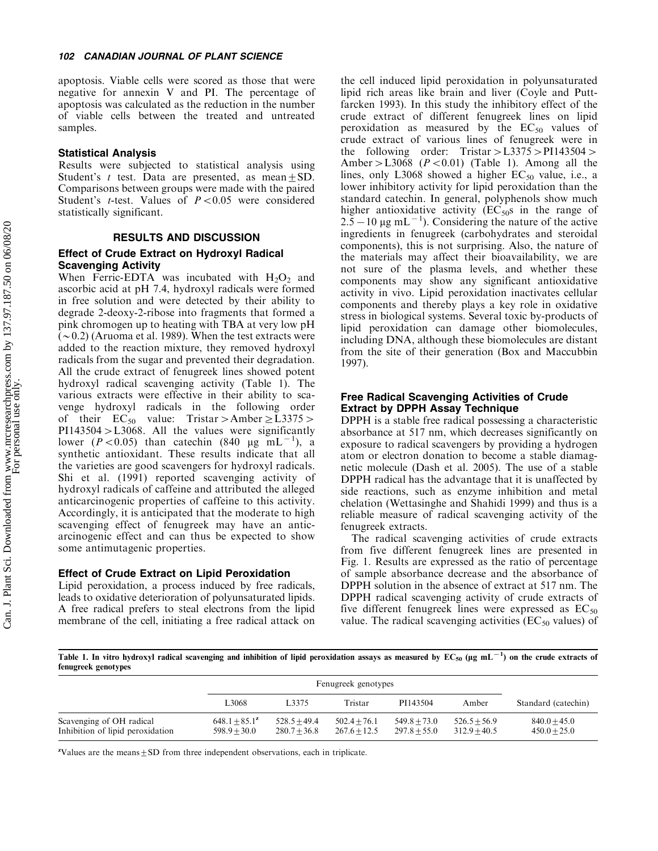apoptosis. Viable cells were scored as those that were negative for annexin V and PI. The percentage of apoptosis was calculated as the reduction in the number of viable cells between the treated and untreated samples.

#### Statistical Analysis

Results were subjected to statistical analysis using Student's t test. Data are presented, as mean $\pm$ SD. Comparisons between groups were made with the paired Student's *t*-test. Values of  $P < 0.05$  were considered statistically significant.

# RESULTS AND DISCUSSION

# Effect of Crude Extract on Hydroxyl Radical Scavenging Activity

When Ferric-EDTA was incubated with  $H_2O_2$  and ascorbic acid at pH 7.4, hydroxyl radicals were formed in free solution and were detected by their ability to degrade 2-deoxy-2-ribose into fragments that formed a pink chromogen up to heating with TBA at very low pH  $(\sim 0.2)$  (Aruoma et al. 1989). When the test extracts were added to the reaction mixture, they removed hydroxyl radicals from the sugar and prevented their degradation. All the crude extract of fenugreek lines showed potent hydroxyl radical scavenging activity (Table 1). The various extracts were effective in their ability to scavenge hydroxyl radicals in the following order of their  $EC_{50}$  value: Tristar > Amber  $\geq$  L3375 >  $PI143504 > L3068$ . All the values were significantly lower ( $P < 0.05$ ) than catechin (840 µg mL<sup>-1</sup>), a synthetic antioxidant. These results indicate that all the varieties are good scavengers for hydroxyl radicals. Shi et al. (1991) reported scavenging activity of hydroxyl radicals of caffeine and attributed the alleged anticarcinogenic properties of caffeine to this activity. Accordingly, it is anticipated that the moderate to high scavenging effect of fenugreek may have an anticarcinogenic effect and can thus be expected to show some antimutagenic properties.

#### Effect of Crude Extract on Lipid Peroxidation

Lipid peroxidation, a process induced by free radicals, leads to oxidative deterioration of polyunsaturated lipids. A free radical prefers to steal electrons from the lipid membrane of the cell, initiating a free radical attack on

the cell induced lipid peroxidation in polyunsaturated lipid rich areas like brain and liver (Coyle and Puttfarcken 1993). In this study the inhibitory effect of the crude extract of different fenugreek lines on lipid peroxidation as measured by the  $EC_{50}$  values of crude extract of various lines of fenugreek were in the following order: Tristar > L3375 > PI143504 > Amber > L3068 ( $P < 0.01$ ) (Table 1). Among all the lines, only L3068 showed a higher  $EC_{50}$  value, i.e., a lower inhibitory activity for lipid peroxidation than the standard catechin. In general, polyphenols show much higher antioxidative activity  $(EC_{50} s)$  in the range of  $2.\overline{5} - 10 \,\mu\text{g mL}^{-1}$ ). Considering the nature of the active ingredients in fenugreek (carbohydrates and steroidal components), this is not surprising. Also, the nature of the materials may affect their bioavailability, we are not sure of the plasma levels, and whether these components may show any significant antioxidative activity in vivo. Lipid peroxidation inactivates cellular components and thereby plays a key role in oxidative stress in biological systems. Several toxic by-products of lipid peroxidation can damage other biomolecules, including DNA, although these biomolecules are distant from the site of their generation (Box and Maccubbin 1997).

# Free Radical Scavenging Activities of Crude Extract by DPPH Assay Technique

DPPH is a stable free radical possessing a characteristic absorbance at 517 nm, which decreases significantly on exposure to radical scavengers by providing a hydrogen atom or electron donation to become a stable diamagnetic molecule (Dash et al. 2005). The use of a stable DPPH radical has the advantage that it is unaffected by side reactions, such as enzyme inhibition and metal chelation (Wettasinghe and Shahidi 1999) and thus is a reliable measure of radical scavenging activity of the fenugreek extracts.

The radical scavenging activities of crude extracts from five different fenugreek lines are presented in Fig. 1. Results are expressed as the ratio of percentage of sample absorbance decrease and the absorbance of DPPH solution in the absence of extract at 517 nm. The DPPH radical scavenging activity of crude extracts of five different fenugreek lines were expressed as  $EC_{50}$ value. The radical scavenging activities ( $EC_{50}$  values) of

Table 1. In vitro hydroxyl radical scavenging and inhibition of lipid peroxidation assays as measured by  $\text{EC}_{50}$  (µg mL $^{-1}$ ) on the crude extracts of fenugreek genotypes

|                                                              | Fenugreek genotypes                |                                  |                                  |                                  |                                  |                                  |
|--------------------------------------------------------------|------------------------------------|----------------------------------|----------------------------------|----------------------------------|----------------------------------|----------------------------------|
|                                                              | L3068                              | L3375                            | Tristar                          | PI143504                         | Amber                            | Standard (catechin)              |
| Scavenging of OH radical<br>Inhibition of lipid peroxidation | $648.1 + 85.1^z$<br>$598.9 + 30.0$ | $528.5 + 49.4$<br>$280.7 + 36.8$ | $502.4 + 76.1$<br>$267.6 + 12.5$ | $549.8 + 73.0$<br>$297.8 + 55.0$ | $526.5 + 56.9$<br>$312.9 + 40.5$ | $840.0 + 45.0$<br>$450.0 + 25.0$ |

<sup>z</sup>Values are the means  $\pm$  SD from three independent observations, each in triplicate.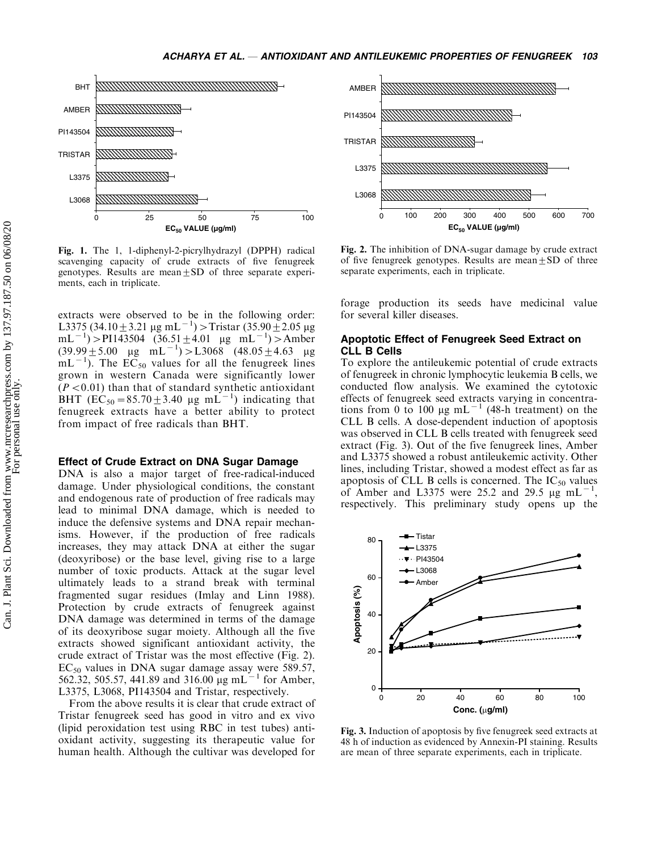

Fig. 1. The 1, 1-diphenyl-2-picrylhydrazyl (DPPH) radical scavenging capacity of crude extracts of five fenugreek genotypes. Results are mean $\pm$ SD of three separate experiments, each in triplicate.

extracts were observed to be in the following order: L3375 (34.10  $\pm$  3.21 µg mL<sup>-1</sup>) > Tristar (35.90  $\pm$  2.05 µg  $mL^{-1}$ ) > PI143504 (36.51  $\pm$ 4.01 µg mL<sup>-1</sup>) > Amber  $(39.99 \pm 5.00 \text{ \mu g} \text{ mL}^{-1})$  > L3068 (48.05  $\pm$  4.63  $\mu$ g  $mL^{-1}$ ). The EC<sub>50</sub> values for all the fenugreek lines grown in western Canada were significantly lower  $(P<0.01)$  than that of standard synthetic antioxidant BHT (EC<sub>50</sub> = 85.70  $\pm$  3.40 µg mL<sup>-1</sup>) indicating that fenugreek extracts have a better ability to protect from impact of free radicals than BHT.

#### Effect of Crude Extract on DNA Sugar Damage

DNA is also a major target of free-radical-induced damage. Under physiological conditions, the constant and endogenous rate of production of free radicals may lead to minimal DNA damage, which is needed to induce the defensive systems and DNA repair mechanisms. However, if the production of free radicals increases, they may attack DNA at either the sugar (deoxyribose) or the base level, giving rise to a large number of toxic products. Attack at the sugar level ultimately leads to a strand break with terminal fragmented sugar residues (Imlay and Linn 1988). Protection by crude extracts of fenugreek against DNA damage was determined in terms of the damage of its deoxyribose sugar moiety. Although all the five extracts showed significant antioxidant activity, the crude extract of Tristar was the most effective (Fig. 2).  $EC_{50}$  values in DNA sugar damage assay were 589.57, 562.32, 505.57, 441.89 and 316.00 µg mL<sup>-1</sup> for Amber, L3375, L3068, PI143504 and Tristar, respectively.

From the above results it is clear that crude extract of Tristar fenugreek seed has good in vitro and ex vivo (lipid peroxidation test using RBC in test tubes) antioxidant activity, suggesting its therapeutic value for human health. Although the cultivar was developed for



Fig. 2. The inhibition of DNA-sugar damage by crude extract of five fenugreek genotypes. Results are mean $\pm$ SD of three separate experiments, each in triplicate.

forage production its seeds have medicinal value for several killer diseases.

# Apoptotic Effect of Fenugreek Seed Extract on CLL B Cells

To explore the antileukemic potential of crude extracts of fenugreek in chronic lymphocytic leukemia B cells, we conducted flow analysis. We examined the cytotoxic effects of fenugreek seed extracts varying in concentrations from 0 to 100  $\mu$ g mL<sup>-1</sup> (48-h treatment) on the CLL B cells. A dose-dependent induction of apoptosis was observed in CLL B cells treated with fenugreek seed extract (Fig. 3). Out of the five fenugreek lines, Amber and L3375 showed a robust antileukemic activity. Other lines, including Tristar, showed a modest effect as far as apoptosis of CLL B cells is concerned. The  $IC_{50}$  values of Amber and L3375 were 25.2 and 29.5  $\mu$ g mL<sup>-1</sup> , respectively. This preliminary study opens up the



Fig. 3. Induction of apoptosis by five fenugreek seed extracts at 48 h of induction as evidenced by Annexin-PI staining. Results are mean of three separate experiments, each in triplicate.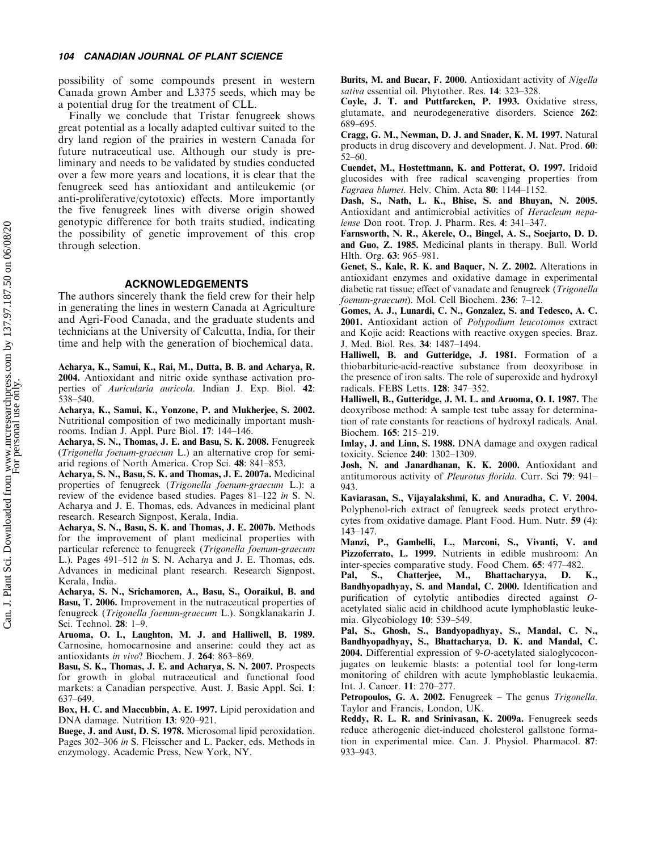possibility of some compounds present in western Canada grown Amber and L3375 seeds, which may be a potential drug for the treatment of CLL.

Finally we conclude that Tristar fenugreek shows great potential as a locally adapted cultivar suited to the dry land region of the prairies in western Canada for future nutraceutical use. Although our study is preliminary and needs to be validated by studies conducted over a few more years and locations, it is clear that the fenugreek seed has antioxidant and antileukemic (or anti-proliferative/cytotoxic) effects. More importantly the five fenugreek lines with diverse origin showed genotypic difference for both traits studied, indicating the possibility of genetic improvement of this crop through selection.

# ACKNOWLEDGEMENTS

The authors sincerely thank the field crew for their help in generating the lines in western Canada at Agriculture and Agri-Food Canada, and the graduate students and technicians at the University of Calcutta, India, for their time and help with the generation of biochemical data.

Acharya, K., Samui, K., Rai, M., Dutta, B. B. and Acharya, R. 2004. Antioxidant and nitric oxide synthase activation properties of Auricularia auricola. Indian J. Exp. Biol. 42: 538-540.

Acharya, K., Samui, K., Yonzone, P. and Mukherjee, S. 2002. Nutritional composition of two medicinally important mushrooms. Indian J. Appl. Pure Biol. 17: 144-146.

Acharya, S. N., Thomas, J. E. and Basu, S. K. 2008. Fenugreek (Trigonella foenum-graecum L.) an alternative crop for semiarid regions of North America. Crop Sci. 48: 841-853.

Acharya, S. N., Basu, S. K. and Thomas, J. E. 2007a. Medicinal properties of fenugreek (Trigonella foenum-graecum L.): a review of the evidence based studies. Pages  $81-122$  in S. N. Acharya and J. E. Thomas, eds. Advances in medicinal plant research. Research Signpost, Kerala, India.

Acharya, S. N., Basu, S. K. and Thomas, J. E. 2007b. Methods for the improvement of plant medicinal properties with particular reference to fenugreek (Trigonella foenum-graecum L.). Pages 491-512 in S. N. Acharya and J. E. Thomas, eds. Advances in medicinal plant research. Research Signpost, Kerala, India.

Acharya, S. N., Srichamoren, A., Basu, S., Ooraikul, B. and Basu, T. 2006. Improvement in the nutraceutical properties of fenugreek(Trigonella foenum-graecum L.). Songklanakarin J. Sci. Technol. 28: 1-9.

Aruoma, O. I., Laughton, M. J. and Halliwell, B. 1989. Carnosine, homocarnosine and anserine: could they act as antioxidants in vivo? Biochem. J. 264: 863-869.

Basu, S. K., Thomas, J. E. and Acharya, S. N. 2007. Prospects for growth in global nutraceutical and functional food markets: a Canadian perspective. Aust. J. Basic Appl. Sci. 1: 637-649.

Box, H. C. and Maccubbin, A. E. 1997. Lipid peroxidation and DNA damage. Nutrition 13: 920-921.

Buege, J. and Aust, D. S. 1978. Microsomal lipid peroxidation. Pages 302-306 in S. Fleisscher and L. Packer, eds. Methods in enzymology. Academic Press, New York, NY.

Burits, M. and Bucar, F. 2000. Antioxidant activity of Nigella sativa essential oil. Phytother. Res. 14: 323-328.

Coyle, J. T. and Puttfarcken, P. 1993. Oxidative stress, glutamate, and neurodegenerative disorders. Science 262: 689-695.

Cragg, G. M., Newman, D. J. and Snader, K. M. 1997. Natural products in drug discovery and development. J. Nat. Prod. 60: 52-60.

Cuendet, M., Hostettmann, K. and Potterat, O. 1997. Iridoid glucosides with free radical scavenging properties from Fagraea blumei. Helv. Chim. Acta 80: 1144-1152.

Dash, S., Nath, L. K., Bhise, S. and Bhuyan, N. 2005. Antioxidant and antimicrobial activities of Heracleum nepalense Don root. Trop. J. Pharm. Res. 4: 341-347.

Farnsworth, N. R., Akerele, O., Bingel, A. S., Soejarto, D. D. and Guo, Z. 1985. Medicinal plants in therapy. Bull. World Hlth. Org. 63: 965-981.

Genet, S., Kale, R. K. and Baquer, N. Z. 2002. Alterations in antioxidant enzymes and oxidative damage in experimental diabetic rat tissue; effect of vanadate and fenugreek (Trigonella foenum-graecum). Mol. Cell Biochem. 236: 7-12.

Gomes, A. J., Lunardi, C. N., Gonzalez, S. and Tedesco, A. C. 2001. Antioxidant action of Polypodium leucotomos extract and Kojic acid: Reactions with reactive oxygen species. Braz. J. Med. Biol. Res. 34: 1487-1494.

Halliwell, B. and Gutteridge, J. 1981. Formation of a thiobarbituric-acid-reactive substance from deoxyribose in the presence of iron salts. The role of superoxide and hydroxyl radicals. FEBS Letts. 128: 347-352.

Halliwell, B., Gutteridge, J. M. L. and Aruoma, O. I. 1987. The deoxyribose method: A sample test tube assay for determination of rate constants for reactions of hydroxyl radicals. Anal. Biochem. 165: 215-219.

Imlay, J. and Linn, S. 1988. DNA damage and oxygen radical toxicity. Science 240: 1302-1309.

Josh, N. and Janardhanan, K. K. 2000. Antioxidant and antitumorous activity of Pleurotus florida. Curr. Sci 79: 941-943.

Kaviarasan, S., Vijayalakshmi, K. and Anuradha, C. V. 2004. Polyphenol-rich extract of fenugreek seeds protect erythrocytes from oxidative damage. Plant Food. Hum. Nutr. 59 (4): 143-147.

Manzi, P., Gambelli, L., Marconi, S., Vivanti, V. and Pizzoferrato, L. 1999. Nutrients in edible mushroom: An inter-species comparative study. Food Chem. 65: 477-482.

Pal, S., Chatterjee, M., Bhattacharyya, D. K., Bandhyopadhyay, S. and Mandal, C. 2000. Identification and purification of cytolytic antibodies directed against Oacetylated sialic acid in childhood acute lymphoblastic leukemia. Glycobiology 10: 539-549.

Pal, S., Ghosh, S., Bandyopadhyay, S., Mandal, C. N., Bandhyopadhyay, S., Bhattacharya, D. K. and Mandal, C. 2004. Differential expression of 9-O-acetylated sialoglycoconjugates on leukemic blasts: a potential tool for long-term monitoring of children with acute lymphoblastic leukaemia. Int. J. Cancer. 11: 270-277.

Petropoulos, G. A. 2002. Fenugreek - The genus Trigonella. Taylor and Francis, London, UK.

Reddy, R. L. R. and Srinivasan, K. 2009a. Fenugreek seeds reduce atherogenic diet-induced cholesterol gallstone formation in experimental mice. Can. J. Physiol. Pharmacol. 87: 933-943.